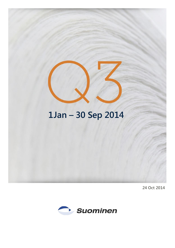# **1Jan – 30 Sep 2014**

**24 Oct 2014**

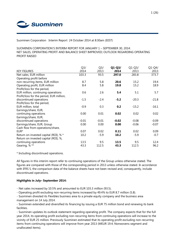

Suominen Corporation Interim Report 24 October 2014 at 8:30am (EEST)

SUOMINEN CORPORATION'S INTERIM REPORT FOR JANUARY 1 – SEPTEMBER 30, 2014: NET SALES, OPERATING PROFIT AND BALANCE SHEET IMPROVED; OUTLOOK REGARDING OPERATING PROFIT RAISED

|                                          | Q <sub>3</sub> | Q <sub>3</sub> | $Q1-Q3/$ | $Q1-Q3/$ | $Q1-Q4/$ |
|------------------------------------------|----------------|----------------|----------|----------|----------|
| <b>KEY FIGURES</b>                       | 2014           | 2013           | 2014     | 2013     | 2013     |
| Net sales, EUR million                   | 103.3          | 93.5           | 297.0    | 283.8    | 373.7    |
| Operating profit before                  |                |                |          |          |          |
| non-recurring items, EUR million         | 8.7            | 5.8            | 20.6     | 15.2     | 19.4     |
| Operating profit, EUR million            | 8.4            | 5.8            | 19.8     | 15.2     | 18.9     |
| Profit/loss for the period,              |                |                |          |          |          |
| EUR million, continuing operations       | 0.6            | 2.6            | 5.4      | 5.1      | 5.7      |
| Profit/loss for the period, EUR million, |                |                |          |          |          |
| discontinued operations                  | $-1.5$         | $-2.4$         | $-5.2$   | $-20.3$  | $-21.8$  |
| Profit/loss for the period,              |                |                |          |          |          |
| EUR million, total                       | $-0.9$         | 0.3            | 0.2      | $-15.2$  | $-16.1$  |
| Earnings/share, EUR,                     |                |                |          |          |          |
| continuing operations                    | 0.00           | 0.01           | 0.02     | 0.02     | 0.02     |
| Earnings/share, EUR,                     |                |                |          |          |          |
| discontinued operations                  | $-0.01$        | $-0.01$        | $-0.02$  | $-0.08$  | $-0.09$  |
| Earnings/share, EUR, Group               | 0.00           | 0.00           | 0.00     | $-0.06$  | $-0.07$  |
| Cash flow from operations/share,         |                |                |          |          |          |
| EUR*                                     | 0.07           | 0.02           | 0.11     | 0.02     | 0.09     |
| Return on invested capital (ROI), % *    | 10.2           | $-5.9$         | 10.2     | $-5.9$   | $-0.7$   |
| Return on invested capital (ROI), %,     |                |                |          |          |          |
| continuing operations                    | 13.5           | 9.5            | 13.5     | 9.5      | 12.4     |
| Gearing, %**                             | 43.3           | 112.5          | 43.3     | 112.5    | 96.2     |
|                                          |                |                |          |          |          |

\* Including discontinued operations.

All figures in this interim report refer to continuing operations of the Group unless otherwise stated. The figures are compared with those of the corresponding period in 2013 unless otherwise stated. In accordance with IFRS 5, the comparison data of the balance sheets have not been revised and, consequently, include discontinued operations.

## **Highlights in July– September 2014:**

- Net sales increased by 10.5% and amounted to EUR 103.3 million (93.5).

- Operating profit excluding non-recurring items increased by 49.4% to EUR 8.7 million (5.8).

- Suominen divested its Flexibles business area to a private equity company and the business area management on 14 July 2014.

- Suominen extended and diversified its financing by issuing a EUR 75 million bond and renewing its bank facilities.

- Suominen updates its outlook statement regarding operating profit. The company expects that for the full year 2014, its operating profit excluding non-recurring items from continuing operations will increase to the vicinity of EUR 25 million. Previously Suominen estimated that its operating profit excluding non-recurring items from continuing operations will improve from year 2013 (MEUR 19.4; Nonwovens segment and unallocated items).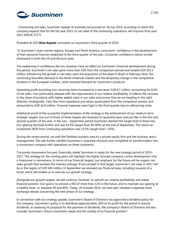

- Concerning net sales, Suominen repeats its estimate announced on 18 July 2014, according to which the company expects that for the full year 2014, its net sales of the continuing operations will improve from year 2013 (MEUR 373.7)

President & CEO **Nina Kopola** comments on Suominen's third quarter of 2014:

"In Suominen's main market regions, Europe and North America, consumers' confidence in the development of their personal finances weakened in the third quarter of the year. Consumer confidence indices turned downward in both the US and the euro area.

The weakening in confidence did not, however, have an effect on Suominen's financial development during the period. Suominen's net sales grew more than 10% from the comparison period and totaled EUR 103.3 million. Influencing the growth in net sales were the acquisition of the plant in Brazil in February 2014, the continuing favorable demand in the North American market and the temporary change in the competitive situation in the European markets, which boosted demand for Suominen's products.

Operating profit excluding non-recurring items increased to a new level, EUR 8.7 million, accounting for 8.4% of net sales. I am particularly pleased with the improvement in our relative profitability. It reflects the increase in the share of products with higher added value in our sales and proves that we are heading in the right direction strategically. Cash flow from operations just about quadrupled from the comparison period, and amounted to EUR 16.9 million. Financial expenses were high in the third quarter due to refinancing costs.

Additional proof of the successful implementation of the strategy is the achievement of our medium-term strategic targets: two out of three of these targets are reviewed on quarterly basis and just like in the first and second quarters of the year, in the July – September period Suominen reached the target level in these two. Our gearing declined further and was 43.4% (target level 40–80%) at the end of September. The return on investment (ROI) from continuing operations was 13.5% (target level >10%).

During the review period, we sold the Flexibles business area to a private equity firm and the business area's management. The sale further clarified Suominen's corporate structure and completed its transformation into a nonwovens company with operations on three continents.

The purely nonwovens-focused, financially stable Suominen is ready for the new strategy period of 2015– 2017. The strategy for the coming years will highlight the highly focused company's active development into a forerunner in nonwovens. In terms of our financial targets, our emphasis for the future will be organic net sales growth that exceeds the industry average. If we succeed in that target, Suominen's net sales in 2017 will be in the region of EUR 500 million. In September we renewed our financial base, including issuance of a bond, which will enable us to execute our growth strategy.

Alongside our growth targets, we will continue, however, to uphold our relative profitability and stable financial position. Our goal is to achieve a ROI of more than 12% in the future, and to maintain our gearing at a healthy level, i.e. between 40 and 80%. Today, 24 October 2014, we have also released a separate stock exchange release concerning the next phase of our strategy.

In connection with our strategy update, Suominen's Board of Directors has approved a dividend policy for the company. Suominen's policy is to distribute approximately 30% of its profit for the period in annual dividends. In assessing its proposal for the payment of dividends, the company's Board of Directors will also consider Suominen's future investment needs and the solidity of its financial position."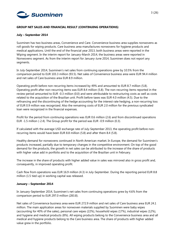

## **GROUP NET SALES AND FINANCIAL RESULT (CONTINUING OPERATIONS)**

## **July – September 2014**

Suominen has two business areas, Convenience and Care. Convenience business area supplies nonwovens as roll goods for wiping products. Care business area manufactures nonwovens for hygiene products and medical applications. Until the end of the financial year 2013, both business areas were reported in the Wiping segment. In the interim report for January-March 2014, the business areas were reported in Nonwovens segment. As from the interim report for January-June 2014, Suominen does not report any segments.

In July-September 2014, Suominen's net sales from continuing operations grew by 10.5% from the comparison period to EUR 103.3 million (93.5). Net sales of Convenience business area were EUR 94.4 million and net sales of Care business area EUR 8.9 million.

Operating profit before non-recurring items increased by 49% and amounted to EUR 8.7 million (5.8). Operating profit after non-recurring items was EUR 8.4 million (5.8). The non-recurring items reported in the review period amounted to EUR -0.3 million (0.0) and were attributable to restructuring costs as well as costs related to the acquisition of the Brazilian unit. Profit before taxes was EUR 4.0 million (4.5). Due to the refinancing and the discontinuing of the hedge accounting for the interest rate hedging, a non-recurring loss of EUR 0.9 million was recognized. Also the remaining costs of EUR 2.0 million for the previous syndicated loan were recognized in the financial expenses.

Profit for the period from continuing operations was EUR 0.6 million (2.6) and from discontinued operations EUR -1.5 million (-2.4). The Group profit for the period was EUR -0.9 million (0.3).

If calculated with the average USD exchange rate of July-September 2013, the operating profit before nonrecurring items would have been EUR 8.8 million (5.8) and after them 8.4 (5.8).

Healthy demand for nonwovens continued in North American market. In Europe, the demand for Suominen's products increased, partially due to temporary changes in the competitive environment. On top of the good demand for the products, the growth in net sales can be attributed to the increase of the share of products with higher value add in portfolio and to the acquisition of the Brazilian unit in February.

The increase in the share of products with higher added value in sales was mirrored also in gross profit and, consequently, in improved operating profit.

Cash flow from operations was EUR 16.9 million (4.3) in July-September. During the reporting period EUR 8.8 million (1.5 tied up) in working capital was released.

## **January – September 2014**

In January-September 2014, Suominen's net sales from continuing operations grew by 4.6% from the comparison period to EUR 297.0 million (283.8).

Net sales of Convenience business area were EUR 272.9 million and net sales of Care business area EUR 24.1 million. The main application areas for nonwoven materials supplied by Suominen were baby wipes (accounting for 40% of the sales), personal care wipes (22%), household wipes (17%), industrial wipes (12%), and hygiene and medical products (8%). All wiping products belong to the Convenience business area and all medical and hygiene products belong to the Care business area. The share of products with higher added value grew in the portfolio.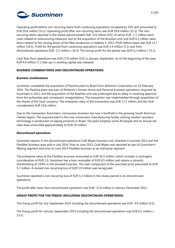

Operating profit before non-recurring items from continuing operations increased by 35% and amounted to EUR 20.6 million (15.2). Operating profit after non-recurring items was EUR 19.8 million (15.2). The nonrecurring items reported in the review period totaled EUR -0.9 million (0.0), of which EUR -1.1 million were costs related to restructuring measures and to the acquisition of the Brazilian unit; and EUR 0.2 million were items related to the closing down of the fiber production in Nakkila in 2012. Profit before taxes was EUR 12.7 million (10.5). Profit for the period from continuing operations was EUR 5.4 million (5.1) and from discontinued operations EUR -5.2 million (-20.3). The Group profit for the period was EUR 0.2 million (-15.2).

Cash flow from operations was EUR 27.8 million (5.0) in January-September. As of the beginning of the year, EUR 4.0 million (7.1 tied up) in working capital was released.

## **BUSINESS COMBINATIONS AND DISCONTINUED OPERATIONS**

## **Business combinations**

Suominen completed the acquisition of Paulínia plant in Brazil from Ahlstrom Corporation on 10 February 2014. The Paulínia plant was part of Ahlstrom´s former Home and Personal business operations, acquired by Suominen in 2011, but the acquisition of the Brazilian unit was prolonged due to delay in receiving approval from the authorities and consequent renegotiations. The transaction was implemented through acquisition of the shares of the local company. The enterprise value of the transaction was EUR 17.5 million and the final consideration EUR 19.6 million.

Due to the transaction Suominen's nonwovens business has now a foothold in the growing South American market region. The acquired plant is the only nonwovens manufacturing facility utilizing modern spunlace technology in production of wiping products in Brazil. The plant employs some 40 people and its annual net sales have amounted approximately to EUR 20 million.

#### **Discontinued operations**

Suominen reports in the discontinued operations Codi Wipes business unit, divested in summer 2013 and the Flexibles business area sold in July 2014. Prior to June 2013, Codi Wipes was reported as part of Suominen's Wiping segment and prior to June 2014 Flexibles business as an individual segment.

The enterprise value of the Flexibles business amounted to EUR 20.3 million, which includes a contingent consideration of EUR 1.0. Suominen has a loan receivable of EUR 8.5 million and retains a minority shareholding of 19.9% in the divested business. The cash component of the purchase price amounted to EUR 5.7 million. A revised non-recurring loss of EUR 5.9 million was recognized.

Suominen reported a non-recurring loss of EUR 5.2 million in the review period in its discontinued operations.

The profit after taxes from discontinued operations was EUR -21.8 million in January-December 2013.

## **GROUP PROFIT FOR THE PERIOD (INCLUDING DISCONTINUED OPERATIONS)**

The Group profit for July-September 2014 including the discontinued operations was EUR -0.9 million (0.3).

The Group profit for January-September 2014 including the discontinued operations was EUR 0.2 million (- 15.2).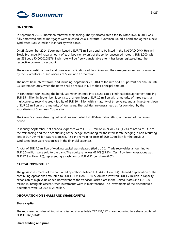

## **FINANCING**

In September 2014, Suominen renewed its financing. The syndicated credit facility withdrawn in 2011 was fully amortized and its mortgages were released. As a substitute, Suominen issued a bond and agreed a new syndicated EUR 55 million loan facility with banks.

On 23 September 2014, Suominen issued a EUR 75 million bond to be listed in the NASDAQ OMX Helsinki Stock Exchange. Principal amount of each book-entry unit of the senior unsecured notes is EUR 1,000, with an ISIN code FI40000108576. Each note will be freely transferable after it has been registered into the respective book-entry account.

The notes constitute direct and unsecured obligations of Suominen and they are guaranteed as for own debt by the Guarantors, i.e. subsidiaries of Suominen Corporation.

The notes bear interest from, and including, September 23, 2014 at the rate of 4.375 percent per annum until 23 September 2019, when the notes shall be repaid in full at their principal amount.

In connection with issuing the bond, Suominen entered into a syndicated credit facilities agreement totaling EUR 55 million in September. It consists of a term loan of EUR 10 million with a maturity of three years; a multicurrency revolving credit facility of EUR 30 million with a maturity of three years; and an investment loan of EUR 15 million with a maturity of four years. The facilities are guaranteed as for own debt by the subsidiaries of Suominen Corporation.

The Group's interest-bearing net liabilities amounted to EUR 44.6 million (89.7) at the end of the review period.

In January–September, net financial expenses were EUR 7.1 million (4.7), or 2.4% (1.7%) of net sales. Due to the refinancing and the discontinuing of the hedge accounting for the interest rate hedging, a non-recurring loss of EUR 0.9 million was recognized. Also the remaining costs of EUR 2.0 million for the previous syndicated loan were recognized in the financial expenses.

A total of EUR 4.0 million of working capital was released (tied up 7.1). Trade receivables amounting to EUR 6.0 million were sold to the bank. The equity ratio was 41.0% (33.1%). Cash flow from operations was EUR 27.8 million (5.0), representing a cash flow of EUR 0.11 per share (0.02).

## **CAPITAL EXPENDITURE**

The gross investments of the continued operations totaled EUR 4.4 million (1.4). Planned depreciation of the continuing operations amounted to EUR 11.4 million (10.4). Suominen invested EUR 1.7 million in capacity expansion of high value added nonwovens at the Windsor Locks plant in the United States and EUR 1.0 million in intangible assets. Other investments were in maintenance. The investments of the discontinued operations were EUR 0.6 (1.2) million.

#### **INFORMATION ON SHARES AND SHARE CAPITAL**

#### **Share capital**

The registered number of Suominen's issued shares totals 247,934,122 shares, equaling to a share capital of EUR 11,860,056.00.

## **Share trading and price**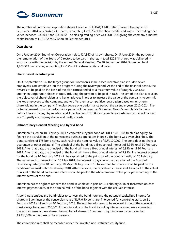

The number of Suominen Corporation shares traded on NASDAQ OMX Helsinki from 1 January to 30 September 2014 was 24,422,736 shares, accounting for 9.9% of the share capital and votes. The trading price varied between EUR 0.47 and EUR 0.62. The closing trading price was EUR 0.58, giving the company a market capitalization of EUR 142,755,750 on 30 September 2014.

#### **Own shares**

On 1 January 2014 Suominen Corporation held 1,924,367 of its own shares. On 5 June 2014, the portion of the remuneration of the Board of Directors to be paid in shares, in total 120,848 shares, was delivered in accordance with the decision by the Annual General Meeting. On 30 September 2014, Suominen held 1,803,519 own shares, accounting for 0.7% of the share capital and votes.

#### **Share-based incentive plan**

On 30 September 2014, the target group for Suominen's share-based incentive plan included seven employees. One employee left the program during the review period. At the end of the financial period, the rewards to be paid on the basis of the plan corresponded to a maximum value of roughly 2,383,333 Suominen Corporation shares in total, including the portion to be paid in cash. The aim of the plan is to align the objectives of shareholders and key employees in order to increase the value of the company, to commit the key employees to the company, and to offer them a competitive reward plan based on long-term shareholding in the company. The plan covers one performance period: the calendar years 2012–2014. The potential reward from the performance period will be based on Suominen Group's cumulative Earnings Before Interest, Taxes, Depreciation and Amortization (EBITDA) and cumulative cash flow, and it will be paid in 2015 partly in company shares and partly in cash.

#### **Extraordinary General Meeting and hybrid bond**

Suominen issued on 10 February 2014 a convertible hybrid bond of EUR 17,500,000, treated as equity, to finance the acquisition of the nonwovens business operations in Brazil. The bond was oversubscribed. The bond consists of 175 bond notes, each having the nominal value of EUR 100,000. The bond does not have a guarantee or other collateral. The principal of the bond has a fixed annual interest of 5.95% until 10 February 2018. After that date, the principal of the bond will have a fixed annual interest of 6.95% until 10 February 2019. After that date, the principal of the bond will have a fixed annual interest of 7.95%. The interest accrued for the bond by 10 February 2018 will be capitalized to the principal of the bond annually on 10 February. Thereafter and commencing on 10 May 2018, the interest is payable in the discretion of the Board of Directors quarterly on 10 February, 10 May, 10 August and 10 November. No interest shall be paid on the capitalized interest until 10 February 2018. After that date, the capitalized interest shall be a part of the actual principal of the bond and annual interest shall be paid to the whole amount of the principal according to the interest terms of the bond.

Suominen has the right to redeem the bond in whole or in part on 10 February 2018 or thereafter, on each interest payment date, at the nominal value of the bond together with the accrued interest.

A bond note entitles the bondholder to convert the bond note and the potential capitalized interest for shares in Suominen at the conversion rate of EUR 0.50 per share. The period for converting starts on 11 February 2014 and ends on 10 February 2018. The number of shares to be received through the conversion must always be at least 200,000. If the total value of the bond including interest accrued were converted through an issue of new shares, the number of shares in Suominen might increase by no more than 43,330,000 on the basis of the conversion.

The conversion rate shall be recorded under the invested non-restricted equity fund.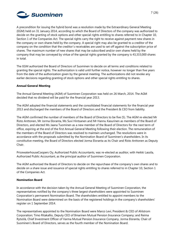

A precondition for issuing the hybrid bond was a resolution made by the Extraordinary General Meeting (EGM) held on 31 January 2014, according to which the Board of Directors of the company was authorized to decide on the granting of stock options and other special rights entitling to shares referred to in Chapter 10, Section 1 of the Companies Act. The special rights carry the right to receive against payment new shares in the company or own shares held by the company. A special right may also be granted to a creditor of the company on the condition that the creditor´s receivables are used to set off against the subscription price of shares. The maximum number of new shares that may be subscribed and/or own shares held by the company that may be conveyed by virtue of the special rights granted by the company is 43,333,000 shares in total.

The EGM authorized the Board of Directors of Suominen to decide on all terms and conditions related to granting the special rights. The authorization is valid until further notice, however no longer than five years from the date of the authorization given by the general meeting. The authorizations did not revoke any earlier decisions regarding granting of stock options and other special rights entitling to shares.

## **Annual General Meeting**

The Annual General Meeting (AGM) of Suominen Corporation was held on 26 March, 2014. The AGM decided that no dividend will be paid for the financial year 2013.

The AGM adopted the financial statements and the consolidated financial statements for the financial year 2013 and discharged the members of the Board of Directors and the President & CEO from liability.

The AGM confirmed the number of members of the Board of Directors to be five (5). The AGM re-elected Mr Risto Anttonen, Mr Jorma Eloranta, Ms Suvi Hintsanen and Mr Hannu Kasurinen as members of the Board of Directors, and elected Ms Jaana Tuominen as a new member of the Board of Directors for the next term of office, expiring at the end of the first Annual General Meeting following their election. The remuneration of the members of the Board of Directors was resolved to maintain unchanged. The resolutions were in accordance with the proposals submitted by the Nomination Board of Suominen's shareholders. In its constitutive meeting, the Board of Directors elected Jorma Eloranta as its Chair and Risto Anttonen as Deputy Chair.

PricewaterhouseCoopers Oy, Authorized Public Accountants, was re-elected as auditor, with Heikki Lassila, Authorized Public Accountant, as the principal auditor of Suominen Corporation.

The AGM authorized the Board of Directors to decide on the repurchase of the company's own shares and to decide on a share issue and issuance of special rights entitling to shares referred to in Chapter 10, Section 1 of the Companies Act.

#### **Nomination Board**

In accordance with the decision taken by the Annual General Meeting of Suominen Corporation, the representatives notified by the company's three largest shareholders were appointed to Suominen Corporation's permanent Nomination Board. The shareholders entitled to appoint members to the Nomination Board were determined on the basis of the registered holdings in the company's shareholders' register on 1 September 2014.

The representatives appointed to the Nomination Board were Marco Levi, President & CEO of Ahlstrom Corporation; Timo Ritakallio, Deputy CEO of Ilmarinen Mutual Pension Insurance Company; and Reima Rytsölä, Chief Investment Officer of Varma Mutual Pension Insurance Company. Jorma Eloranta, Chair of Suominen's Board of Directors, serves as the fourth member of the Nomination Board.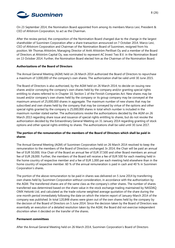

On 23 September 2014, the Nomination Board appointed from among its members Marco Levi, President & CEO of Ahlstrom Corporation, to act as the Chairman.

After the review period, the composition of the Nomination Board changed due to the change in the largest shareholder of Suominen Corporation after a share transaction announced on 7 October 2014. Marco Levi, CEO of Ahlstrom Corporation and Chairman of the Nomination Board of Suominen, resigned from his position. Mr Thomas Ahlström, Managing Director of Antti Ahlström Perilliset Oy and a member of the Board of Directors at Ahlström Capital Oy, was nominated to represent AC Invest Two B.V. in the Nomination Board on 13 October 2014. Further, the Nomination Board elected him as the Chairman of the Nomination Board.

#### **Authorizations of the Board of Directors**

The Annual General Meeting (AGM) held on 26 March 2014 authorized the Board of Directors to repurchase a maximum of 3,000,000 of the company's own shares. The authorization shall be valid until 30 June 2015.

The Board of Directors is also authorized, by the AGM held on 26 March 2014, to decide on issuing new shares and/or conveying the company's own shares held by the company and/or granting special rights entitling to shares referred to in Chapter 10, Section 1 of the Finnish Companies Act. New shares may be issued and/or company's own shares held by the company or its group company may be conveyed at the maximum amount of 25,000,000 shares in aggregate. The maximum number of new shares that may be subscribed and own shares held by the company that may be conveyed by virtue of the options and other special rights granted by the company is 25,000,000 shares in total which number is included in the maximum number stated earlier. The authorizations revoke the authorizations decided by the AGM on 26 March 2013 regarding share issue and issuance of special rights entitling to shares, but do not revoke the authorization decided by the Extraordinary General Meeting on 31 January 2014 regarding granting of stock options and other special rights entitling to shares. The authorizations shall be valid until 30 June 2017.

# **The portion of the remuneration of the members of the Board of Directors which shall be paid in shares**

The Annual General Meeting (AGM) of Suominen Corporation held on 26 March 2014 resolved to keep the remuneration to the members of the Board of Directors unchanged. In 2014, the Chair will be paid an annual fee of EUR 50,000, Vice Chair of the Board an annual fee of EUR 37,500 and other Board members an annual fee of EUR 28,000. Further, the members of the Board will receive a fee of EUR 500 for each meeting held in the home country of respective member and a fee of EUR 1,000 per each meeting held elsewhere than in the home country of respective member. 60 % of the annual remuneration is paid in cash and 40 % in Suominen Corporation's shares.

The portion of the above remuneration to be paid in shares was delivered on 5 June 2014 by transferring own shares held by Suominen Corporation without consideration, in accordance with the authorization by the AGM. The transferred shares are of the same class as the company's other shares. The number of shares transferred was determined based on the share value in the stock exchange trading maintained by NASDAQ OMX Helsinki Ltd, and calculated as the trade volume weighted average quotation of the share during the one month period immediately following the date on which the interim report of January-March 2014 of the company was published. In total 120,848 shares were given out of the own shares held by the company by the decision of the Board of Directors on 5 June 2014. Since the decision taken by the Board of Directors was essentially an execution of a detailed resolution taken by the AGM, the Board did not exercise independent discretion when it decided on the transfer of the shares.

#### **Permanent committees**

After the Annual General Meeting held on 26 March 2014, Suominen Corporation's Board of Directors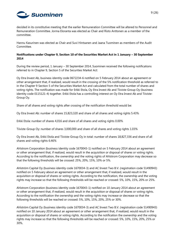

decided in its constitutive meeting that the earlier Remuneration Committee will be altered to Personnel and Remuneration Committee. Jorma Eloranta was elected as Chair and Risto Anttonen as a member of the committee.

Hannu Kasurinen was elected as Chair and Suvi Hintsanen and Jaana Tuominen as members of the Audit Committee.

# **Notifications under Chapter 9, Section 10 of the Securities Market Act in 1 January – 30 September 2014**

During the review period, 1 January – 30 September 2014, Suominen received the following notifications referred to in Chapter 9, Section 5 of the Securities Market Act:

Oy Etra Invest Ab, business identity code 0672234-6 notified on 5 February 2014 about an agreement or other arrangement that, if realized, would result in the crossing of the 5% notification threshold as referred to in the Chapter 9 Section 5 of the Securities Market Act and calculated from the total number of shares and voting rights. The notification was made for Erkki Etola, Oy Etra Invest Ab and Tiiviste-Group Oy (business identity code 0115121-4) together. Erkki Etola has a controlling interest on Oy Etra Invest Ab and Tiiviste-Group Oy.

Share of all shares and voting rights after crossing of the notification threshold would be:

Oy Etra Invest Ab: number of shares 15,823,320 and share of all shares and voting rights 5.43%

Erkki Etola: number of shares 4,016 and share of all shares and voting rights 0.00%

Tiiviste-Group Oy: number of shares 3,000,000 and share of all shares and voting rights 1.03%

Oy Etra Invest Ab, Erkki Etola and Tiiviste-Group Oy in total: number of shares 18,827,336 and share of all shares and voting rights 6.46%

Ahlstrom Corporation (business identity code 1670043-1) notified on 5 February 2014 about an agreement or other arrangement that, if realized, would result in the acquisition or disposal of shares or voting rights. According to the notification, the ownership and the voting rights of Ahlstrom Corporation may decrease so that the following thresholds will be crossed: 25%, 20%, 15%, 10% or 5%.

Ahlström Capital Oy (business identity code 1670034-3) and AC Invest Two B.V. (registration code 51490943) notified on 5 February about an agreement or other arrangement that, if realized, would result in the acquisition or disposal of shares or voting rights. According to the notification, the ownership and the voting rights may increase so that the following thresholds will be reached or crossed: 5%, 10%, 15%, 20% or 25%.

Ahlstrom Corporation (business identity code 1670043-1) notified on 10 January 2014 about an agreement or other arrangement that, if realized, would result in the acquisition or disposal of shares or voting rights. According to the notification the ownership and the voting rights may increase or decrease so that the following thresholds will be reached or crossed: 5%, 10%, 15%, 20%, 25% or 30%.

Ahlström Capital Oy (business identity code 1670034-3) and AC Invest Two B.V. (registration code 51490943) notified on 10 January 2014 about an agreement or other arrangement that, if realized, would result in the acquisition or disposal of shares or voting rights. According to the notification the ownership and the voting rights may increase so that the following thresholds will be reached or crossed: 5%, 10%, 15%, 20%, 25% or 30%.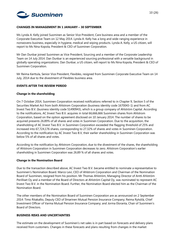

#### **CHANGES IN MANAGEMENT IN 1 JANUARY – 30 SEPTEMBER**

Ms Lynda A. Kelly joined Suominen as Senior Vice President, Care business area and a member of the Corporate Executive Team on 12 May 2014. Lynda A. Kelly has a long and wide-ranging experience in nonwovens business, especially in hygiene, medical and wiping products. Lynda A. Kelly, a US citizen, will report to Ms Nina Kopola, President & CEO of Suominen Corporation.

Mr Dan Dunbar joined Suominen as Vice President, Sourcing and a member of the Corporate Leadership Team on 14 July 2014. Dan Dunbar is an experienced sourcing professional with a versatile background in globally operating organizations. Dan Dunbar, a US citizen, will report to Ms Nina Kopola, President & CEO of Suominen Corporation.

Mr Reima Kerttula, Senior Vice President, Flexibles, resigned from Suominen Corporate Executive Team on 14 July, 2014 due to the divestment of Flexibles business area.

## **EVENTS AFTER THE REVIEW PERIOD**

#### **Change in the shareholding**

On 7 October 2014, Suominen Corporation received notifications referred to in Chapter 9, Section 5 of the Securities Market Act from both Ahlstrom Corporation (business identity code 1670043-1) and from AC Invest Two B.V. (business identity code 51490943), which is a group company of Ahlström Capital. According to the notifications, AC Invest Two B.V. acquires in total 66,666,666 Suominen shares from Ahlstrom Corporation, based on the option agreement disclosed on 10 January 2014. The number of shares to be acquired presents 26.89% of all shares and votes in Suominen Corporation. Due to the acquisition, the shareholding of AC Invest Two B.V. in Suominen Corporation exceeded the flagging threshold of 25% and increased into 67,724,176 shares, corresponding to 27.32% of shares and votes in Suominen Corporation. According to the notification by AC Invest Two B.V, their earlier shareholding in Suominen Corporation was below 5% of all shares and votes.

According to the notification by Ahlstrom Corporation, due to the divestment of the shares, the shareholding of Ahlstrom Corporation in Suominen Corporation decreases to zero. Ahlstrom Corporation's earlier shareholding in Suominen Corporation was 26.89 % of all shares and votes.

#### **Change in the Nomination Board**

Due to the transaction described above, AC Invest Two B.V. became entitled to nominate a representative to Suominen's Nomination Board. Marco Levi, CEO of Ahlstrom Corporation and Chairman of the Nomination Board of Suominen, resigned from his position. Mr Thomas Ahlström, Managing Director of Antti Ahlström Perilliset Oy and a member of the Board of Directors at Ahlström Capital Oy, was nominated to represent AC Invest Two B.V. in the Nomination Board. Further, the Nomination Board elected him as the Chairman of the Nomination Board.

The other members of the Nomination Board of Suominen Corporation are as announced on 2 September 2014: Timo Ritakallio, Deputy CEO of Ilmarinen Mutual Pension Insurance Company; Reima Rytsölä, Chief Investment Officer of Varma Mutual Pension Insurance Company; and Jorma Eloranta, Chair of Suominen's Board of Directors.

## **BUSINESS RISKS AND UNCERTAINTIES**

The estimate on the development of Suominen's net sales is in part based on forecasts and delivery plans received from customers. Changes in these forecasts and plans resulting from changes in the market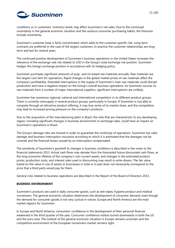

conditions or in customers' inventory levels may affect Suominen's net sales. Due to the continued uncertainty in the general economic situation and the cautious consumer purchasing habits, the forecasts include uncertainty.

Suominen's customer base is fairly concentrated, which adds to the customer-specific risk. Long-term contracts are preferred in the case of the largest customers. In practice the customer relationships are longterm and last for several years.

The continued positive development of Suominen's business operations in the United States increases the relevance of the exchange rate risk related to USD in the Group's total exchange risk position. Suominen hedges this foreign exchange position in accordance with its hedging policy.

Suominen purchases significant amounts of pulp- and oil-based raw materials annually. Raw materials are the largest cost item for operations. Rapid changes in the global market prices of raw materials affect the company's profitability. Extended interruptions in the supply of Suominen's main raw materials could disrupt production and have a negative impact on the Group's overall business operations. As Suominen sources its raw materials from a number of major international suppliers, significant interruptions are unlikely.

Suominen has numerous regional, national and international competitors in its different product groups. There is currently oversupply in several product groups, particularly in Europe. If Suominen is not able to compete through an attractive product offering, it may lose some of its market share, and the competition may lead to increased pricing pressure on the company's products.

Due to the acquisition of the manufacturing plant in Brazil, the risks that are characteristic to any developing region, including significant changes in business environment or exchange rates, could have an impact on Suominen's operations in Brazil.

The Group's damage risks are insured in order to guarantee the continuity of operations. Suominen has valid damage and business interruption insurance according to which it is estimated that the damages can be covered and the financial losses caused by an interruption compensated.

The sensitivity of Suominen's goodwill to changes in business conditions is described in the notes to the financial statements 2013. Actual cash flows may deviate from the forecasted future discounted cash flows, as the long economic lifetime of the company's non-current assets, and changes in the estimated product prices, production costs, and interest rates used in discounting may result in write-downs. The fair value based on the value in use of assets or businesses in total or in part does not necessarily correspond to the price that a third party would pay for them.

General risks related to business operations are described in the Report of the Board of Directors 2013.

## **BUSINESS ENVIRONMENT**

Suominen's products are used in daily consumer goods, such as wet wipes, hygiene product and medical nonwovens. The general economic situation determines the development of consumer demand, even though the demand for consumer goods is not very cyclical in nature. Europe and North America are the main market regions for Suominen.

In Europe and North America, consumers' confidence in the development of their personal finances weakened in the third quarter of the year. Consumer confidence indices turned downwards in both the US and the euro area. The outlook of the general economic situation in Europe remains uncertain and the competitive environment of the European nonwovens market remains tight.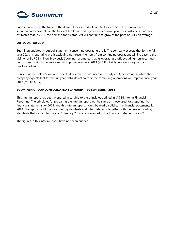

Suominen assesses the trend in the demand for its products on the basis of both the general market situation and, above all, on the basis of the framework agreements drawn up with its customers. Suominen estimates that in 2014, the demand for its products will continue to grow at the pace of 2013 on average.

## **OUTLOOK FOR 2014**

Suominen updates its outlook statement concerning operating profit. The company expects that for the full year 2014, its operating profit excluding non-recurring items from continuing operations will increase to the vicinity of EUR 25 million. Previously Suominen estimated that its operating profit excluding non-recurring items from continuing operations will improve from year 2013 (MEUR 19.4; Nonwovens segment and unallocated items).

Concerning net sales, Suominen repeats its estimate announced on 18 July 2014, according to which the company expects that for the full year 2014, its net sales of the continuing operations will improve from year 2013 (MEUR 373.7)

## **SUOMINEN GROUP CONSOLIDATED 1 JANUARY – 30 SEPTEMBER 2014**

This interim report has been prepared according to the principles defined in IAS 34 Interim Financial Reporting. The principles for preparing the interim report are the same as those used for preparing the financial statements for 2013, and this interim report should be read parallel to the financial statements for 2013. Changes to published accounting standards and interpretations, together with the new accounting standards that came into force on 1 January 2014, are presented in the financial statements for 2013.

The figures in this interim report have not been audited.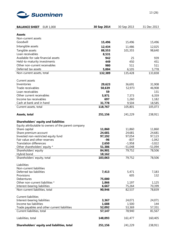

| <b>BALANCE SHEET</b><br><b>EUR 1,000</b>            | 30 Sep 2014       | 30 Sep 2013 | 31 Dec 2013 |
|-----------------------------------------------------|-------------------|-------------|-------------|
|                                                     |                   |             |             |
| <b>Assets</b>                                       |                   |             |             |
| Non-current assets                                  |                   |             |             |
| Goodwill                                            | 15,496            | 15,496      | 15,496      |
| Intangible assets                                   | 12,434            | 11,486      | 12,025      |
| Tangible assets                                     | 88,553            | 101,355     | 98,640      |
| Loan receivables                                    | 8,531             |             |             |
| Available-for-sale financial assets                 | 942               | 25          | 939         |
| Held-to-maturity investments                        | 449               | 450         | 451         |
| Other non-current receivables                       | 980               | 511         | 511         |
| Deferred tax assets                                 | 5,004             | 6,105       | 5,778       |
| Non-current assets, total                           | 132,389           | 135,428     | 133,838     |
| Current assets                                      |                   |             |             |
| Inventories                                         | 29,623            | 36,691      | 31,908      |
| Trade receivables                                   | 50,639            | 52,973      | 46,908      |
| Loan receivables                                    | 59                |             | 131         |
| Other current receivables                           | 5,971             | 7,373       | 6,359       |
| Income tax receivables                              | 697               | 1,260       | 1,182       |
| Cash at bank and in hand                            | 31,778            | 9,504       | 18,585      |
| Current assets, total                               | 118,767           | 105,801     | 105,073     |
| Assets, total                                       | 251,156           | 241,229     | 238,911     |
| <b>Shareholders' equity and liabilities</b>         |                   |             |             |
| Equity attributable to owners of the parent company |                   |             |             |
| Share capital                                       | 11,860            | 11,860      | 11,860      |
| Share premium account                               | 24,681            | 24,681      | 24,681      |
| Invested non-restricted equity fund                 | 97,192            | 97,054      | 97,123      |
| Fair value and other reserves                       | $-96$             | $-837$      | $-1,042$    |
| <b>Translation differences</b>                      | 2,650             | $-1,958$    | $-3,022$    |
| Other shareholders' equity *                        | 51,386            | $-51,048$   | $-51,094$   |
| Shareholders' equity                                | 84,901            | 79,752      | 78,506      |
| Hybrid bond<br>Shareholders' equity, total          | 18,162<br>103,063 | 79,752      | 78,506      |
|                                                     |                   |             |             |
| Liabilities<br>Non-current liabilities              |                   |             |             |
| Deferred tax liabilities                            | 7,413             | 5,471       | 7,183       |
| Provisions                                          |                   | 605         | 132         |
| Debentures                                          | 75,000            |             |             |
| Other non-current liabilities *                     | 1,866             | 1,197       | 1,125       |
| Interest-bearing liabilities                        | 6,667             | 75,264      | 70,399      |
| Non-current liabilities, total                      | 90,946            | 82,537      | 78,839      |
| <b>Current liabilities</b>                          |                   |             |             |
| Interest-bearing liabilities                        | 3,367             | 24,071      | 24,071      |
| Income tax liabilities                              | 1,688             | 1,500       | 144         |
| Trade payables and other current liabilities        | 52,092            | 53,369      | 57,351      |
| Current liabilities, total                          | 57,147            | 78,940      | 81,567      |
| Liabilities, total                                  | 148,093           | 161,477     | 160,405     |
| Shareholders' equity and liabilities, total         | 251,156           | 241,229     | 238,911     |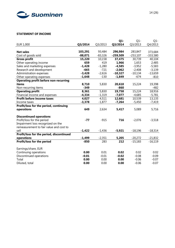

## **STATEMENT OF INCOME**

|                                              |           |           | $Q1 -$     | $Q1 -$     | $Q1 -$     |
|----------------------------------------------|-----------|-----------|------------|------------|------------|
| EUR 1,000                                    | Q3/2014   | Q3/2013   | Q3/2014    | Q3/2013    | Q4/2013    |
|                                              |           |           |            |            |            |
| <b>Net sales</b>                             | 103,291   | 93,484    | 296,984    | 283,847    | 373,684    |
| Cost of goods sold                           | $-88,071$ | $-83,326$ | $-259,509$ | $-253,107$ | $-333,580$ |
| <b>Gross profit</b>                          | 15,220    | 10,158    | 37,475     | 30,739     | 40,104     |
| Other operating income                       | 659       | 419       | 1,966      | 1,653      | 2,485      |
| Sales and marketing expenses                 | $-1,428$  | $-1,280$  | $-4,585$   | $-3,952$   | $-5,583$   |
| Research and development                     | $-665$    | $-721$    | $-2,062$   | $-2,408$   | $-3,139$   |
| Administration expenses                      | $-3,428$  | $-2,616$  | $-10,327$  | $-10,134$  | $-13,659$  |
| Other operating expenses                     | $-1,648$  | $-130$    | $-1,849$   | $-674$     | $-810$     |
| <b>Operating profit before non-recurring</b> |           |           |            |            |            |
| items                                        | 8,710     | 5,830     | 20,618     | 15,224     | 19,398     |
| Non-recurring items                          | $-349$    |           | $-860$     |            | $-482$     |
| <b>Operating profit</b>                      | 8,361     | 5,830     | 19,758     | 15,224     | 18,916     |
| Financial income and expenses                | $-4,334$  | $-1,319$  | $-7,077$   | $-4,685$   | $-5,781$   |
| Profit before income taxes                   | 4,027     | 4,511     | 12,681     | 10,539     | 13,135     |
| Income taxes                                 | $-3,378$  | $-1,877$  | $-7,264$   | $-5,450$   | $-7,419$   |
| Profit/loss for the period, continuing       |           |           |            |            |            |
| operations                                   | 649       | 2,634     | 5,417      | 5,089      | 5,716      |
|                                              |           |           |            |            |            |
| <b>Discontinued operations</b>               |           |           |            |            |            |
| Profit/loss for the period                   | $-77$     | $-915$    | 716        | $-2,076$   | $-3,518$   |
| Impairment loss recognized on the            |           |           |            |            |            |
| remeasurement to fair value and cost to      |           |           |            |            |            |
| sell                                         | $-1,422$  | $-1,436$  | $-5,921$   | $-18,196$  | $-18,314$  |
| Profit/loss for the period, discontinued     |           |           |            |            |            |
| operations                                   | $-1,499$  | $-2,351$  | 5,205      | $-20,272$  | $-21,832$  |
| Profit/loss for the period                   | $-850$    | 283       | 212        | $-15,183$  | $-16,119$  |
|                                              |           |           |            |            |            |
| Earnings/share, EUR                          |           |           |            |            |            |
| Continuing operations                        | 0.00      | 0.01      | 0.02       | 0.02       | 0.02       |
| Discontinued operations                      | $-0.01$   | $-0.01$   | $-0.02$    | $-0.08$    | $-0.09$    |
| Total                                        | 0.00      | 0.00      | 0.00       | $-0.06$    | $-0.07$    |
| Diluted, total                               | 0.00      | 0.00      | 0.00       | $-0.06$    | $-0.07$    |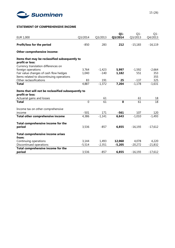

# **STATEMENT OF COMPREHENSIVE INCOME**

|                                                                        |                |          | Q1-      | $Q1 -$    | $Q1 -$    |
|------------------------------------------------------------------------|----------------|----------|----------|-----------|-----------|
| EUR 1,000                                                              | Q3/2014        | Q3/2013  | Q3/2014  | Q3/2013   | Q4/2013   |
| Profit/loss for the period                                             | $-850$         | 283      | 212      | $-15,183$ | $-16,119$ |
| Other comprehensive income:                                            |                |          |          |           |           |
| Items that may be reclassified subsequently to<br>profit or loss:      |                |          |          |           |           |
| Currency translation differences on                                    |                |          |          |           |           |
| foreign operations                                                     | 3,764          | $-1,423$ | 5,997    | $-1,592$  | $-2,664$  |
| Fair value changes of cash flow hedges                                 | 1,040          | $-140$   | 1,182    | 551       | 353       |
| Items related to discontinuing operations                              |                |          |          |           | 355       |
| Other reclassifications                                                | 83             | 191      | 25       | $-137$    | 325       |
| <b>Total</b>                                                           | 4,887          | $-1,372$ | 7,204    | $-1,178$  | $-1,631$  |
| Items that will not be reclassified subsequently to<br>profit or loss: |                |          |          |           |           |
| Actuarial gains and losses                                             |                | 61       |          | 61        | 18        |
| <b>Total</b>                                                           | $\overline{0}$ | 61       | $\bf{0}$ | 61        | 18        |
| Income tax on other comprehensive                                      |                |          |          |           |           |
| income                                                                 | $-501$         | 171      | -561     | 107       | 120       |
| Total other comprehensive income                                       | 4,386          | $-1,141$ | 6,643    | $-1,010$  | $-1,493$  |
| Total comprehensive income for the                                     |                |          |          |           |           |
| period                                                                 | 3,536          | $-857$   | 6,855    | $-16,193$ | $-17,612$ |
| Total comprehensive income arises<br>from:                             |                |          |          |           |           |
| Continuing operations                                                  | 3,144          | 1,493    | 12,060   | 4,078     | 4,220     |
| Discontinued operations                                                | $-5,514$       | $-2,351$ | $-5,205$ | $-20,272$ | $-21,832$ |
| Total comprehensive income for the                                     |                |          |          |           |           |
| period                                                                 | 3,536          | $-857$   | 6,855    | $-16,193$ | $-17,612$ |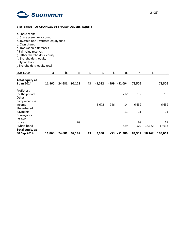

# **STATEMENT OF CHANGES IN SHAREHOLDERS' EQUITY**

| a. Share capital<br>b. Share premium account<br>c. Invested non-restricted equity fund<br>d. Own shares<br>e. Translation differences<br>f. Fair value reserves<br>g. Other shareholders' equity<br>h. Shareholders' equity<br>i. Hybrid bond<br>j. Shareholders' equity total |        |        |        |     |          |     |              |              |        |              |
|--------------------------------------------------------------------------------------------------------------------------------------------------------------------------------------------------------------------------------------------------------------------------------|--------|--------|--------|-----|----------|-----|--------------|--------------|--------|--------------|
| EUR 1,000                                                                                                                                                                                                                                                                      | a.     | b.     | C.     | d.  | e.       | f.  | q.           | h.           | i.     |              |
| <b>Total equity at</b><br>1 Jan 2014                                                                                                                                                                                                                                           | 11,860 | 24,681 | 97,123 | -43 | $-3,022$ |     | -999 -51,094 | 78,506       |        | 78,506       |
| Profit/loss<br>for the period<br>Other<br>comprehensive                                                                                                                                                                                                                        |        |        |        |     |          |     | 212          | 212          |        | 212          |
| income                                                                                                                                                                                                                                                                         |        |        |        |     | 5,672    | 946 | 14           | 6,632        |        | 6,632        |
| Share-based<br>payments<br>Conveyance<br>of own                                                                                                                                                                                                                                |        |        |        |     |          |     | 11           | 11           |        | 11           |
| shares<br>Hybrid bond                                                                                                                                                                                                                                                          |        |        | 69     |     |          |     | $-529$       | 69<br>$-529$ | 18,162 | 69<br>17,633 |
| <b>Total equity at</b><br>30 Sep 2014                                                                                                                                                                                                                                          | 11,860 | 24,681 | 97,192 | -43 | 2,650    | -53 | $-51,386$    | 84,901       | 18,162 | 103,063      |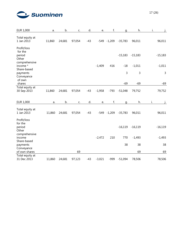

| <b>EUR 1,000</b>                          | a.     | b.     | C.     | d.    | e.       | f.             | q.        | h.        | i.        |
|-------------------------------------------|--------|--------|--------|-------|----------|----------------|-----------|-----------|-----------|
| Total equity at<br>1 Jan 2013             | 11,860 | 24,681 | 97,054 | $-43$ |          | $-549 - 1,209$ | $-35,783$ | 96,011    | 96,011    |
| Profit/loss<br>for the<br>period<br>Other |        |        |        |       |          |                | $-15,183$ | $-15,183$ | $-15,183$ |
| comprehensive<br>income *<br>Share-based  |        |        |        |       | $-1,409$ | 416            | $-18$     | $-1,011$  | $-1,011$  |
| payments<br>Conveyance                    |        |        |        |       |          |                | 3         | 3         | 3         |
| of own<br>shares                          |        |        |        |       |          |                | $-69$     | $-69$     | $-69$     |
| Total equity at<br>30 Sep 2013            | 11,860 | 24,681 | 97,054 | $-43$ | $-1,958$ | $-793$         | $-51,048$ | 79,752    | 79,752    |
| EUR 1,000                                 | a.     | b.     | C.     | d.    | e.       | f.             | q.        | h.        | i.        |
| Total equity at<br>1 Jan 2013             | 11,860 | 24,681 | 97,054 | $-43$ |          | $-549 - 1,209$ | $-35,783$ | 96,011    | 96,011    |
| Profit/loss<br>for the<br>period<br>Other |        |        |        |       |          |                | $-16,119$ | $-16,119$ | $-16,119$ |
| comprehensive<br>income<br>Share-based    |        |        |        |       | $-2,472$ | 210            | 770       | $-1,493$  | $-1,493$  |
| payments                                  |        |        |        |       |          |                | 38        | 38        | 38        |
| Conveyance<br>of own shares               |        |        | 69     |       |          |                |           | 69        | 69        |
| Total equity at<br>31 Dec 2013            | 11,860 | 24,681 | 97,123 | $-43$ | $-3,021$ | $-999$         | $-51,094$ | 78,506    | 78,506    |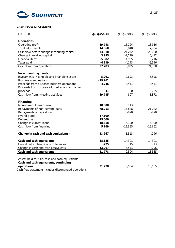

# **CASH FLOW STATEMENT**

| <b>EUR 1,000</b>                                      | Q1-Q3/2014 | Q1-Q3/2013 | Q1-Q4/2013 |
|-------------------------------------------------------|------------|------------|------------|
|                                                       |            |            |            |
| <b>Operations</b>                                     |            |            |            |
| Operating profit                                      | 19,758     | 15,224     | 18,916     |
| Total adjustments                                     | 14,860     | 6,048      | 7,704      |
| Cash flow before change in working capital            | 34,618     | 21,272     | 26,620     |
| Change in working capital                             | 3,985      | $-7,130$   | 6,482      |
| <b>Financial items</b>                                | $-5,982$   | $-4,965$   | $-6,216$   |
| Taxes paid                                            | $-4,839$   | $-4,143$   | $-5,556$   |
| Cash flow from operations                             | 27,783     | 5,035      | 21,330     |
| <b>Investment payments</b>                            |            |            |            |
| Investments in tangible and intangible assets         | $-5,291$   | $-2,693$   | $-5,598$   |
| <b>Business combinations</b>                          | $-19,261$  |            |            |
| Proceeds from disposed business operations            | 4,736      | 3,441      | 3,441      |
| Proceeds from disposal of fixed assets and other      |            |            |            |
| proceeds                                              | 31         | 60         | 785        |
| Cash flow from investing activities                   | $-19,785$  | 807        | $-1,372$   |
| <b>Financing</b>                                      |            |            |            |
| Non-current loans drawn                               | 10,000     | 113        |            |
| Repayments of non-current loans                       | $-78,213$  | $-16,848$  | $-21,042$  |
| Repayments of capital loans                           |            | $-920$     | $-920$     |
| Hybrid bond                                           | 17,500     |            |            |
| Debentures                                            | 75,000     |            |            |
| Change in current loans                               | $-18,318$  | 6,300      | 6,300      |
| Cash flow from financing                              | 5,969      | $-11,355$  | $-15,662$  |
| Change in cash and cash equivalents *                 | 13,967     | $-5,513$   | 4,296      |
| <b>Cash and cash equivalents</b>                      | 18,585     | 14,301     | 14,301     |
| Unrealized exchange rate differences                  | $-775$     | 715        | $-13$      |
| Change in cash and cash equivalents                   | 13,967     | $-5,513$   | 4,296      |
| <b>Cash and cash equivalents</b>                      | 31,778     | 9,504      | 18,585     |
|                                                       |            |            |            |
| Assets held for sale, cash and cash equivalents       |            |            |            |
| Cash and cash equivalents, continuing                 |            |            |            |
| operations                                            | 31,778     | 9,504      | 18,585     |
| Cash flow statement includes discontinued operations. |            |            |            |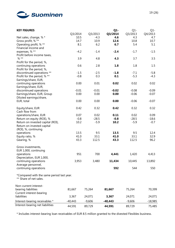

| <b>KEY FIGURES</b>                                                  |           |          | $Q1 -$  | $Q1 -$   | $Q1 -$    |
|---------------------------------------------------------------------|-----------|----------|---------|----------|-----------|
|                                                                     | Q3/2014   | Q3/2013  | Q3/2014 | Q3/2013  | Q4/2013   |
| Net sales, change, % *                                              | 10.5      | $-4.3$   | 4.6     | 4.3      | 4.7       |
| Gross profit, % **                                                  | 14.7      | 10.9     | 12.6    | 10.8     | 10.7      |
| Operating profit, % **                                              | 8.1       | 6.2      | 6.7     | 5.4      | 5.1       |
| Financial income and                                                |           |          |         |          |           |
| expenses, % **                                                      | $-4.2$    | $-1.4$   | $-2.4$  | $-1.7$   | $-1.5$    |
| Profit before income taxes,                                         |           |          |         |          |           |
| $% **$                                                              | 3.9       | 4.8      | 4.3     | 3.7      | 3.5       |
| Profit for the period, %,                                           |           |          |         |          |           |
| continuing operations                                               | 0.6       | 2.8      | 1.8     | 1.8      | 1.5       |
| Profit for the period, %,                                           |           |          |         |          |           |
| discontinued operations **                                          | $-1.5$    | $-2.5$   | $-1.8$  | $-7.1$   | $-5.8$    |
| Profit for the period, % **                                         | $-0.8$    | 0.3      | 0.1     | $-5.3$   | $-4.3$    |
| Earnings/share, EUR,                                                |           |          |         |          |           |
| continuing operations                                               | 0.00      | 0.01     | 0.02    | 0.02     | 0.02      |
| Earnings/share, EUR,                                                | $-0.01$   | $-0.01$  | $-0.02$ | $-0.08$  | $-0.09$   |
| discontinued operations                                             | 0.00      | 0.00     | 0.00    | $-0.06$  | $-0.07$   |
| Earnings/share, EUR, Group                                          |           |          |         |          |           |
| Diluted earnings/share,<br>EUR, total                               | 0.00      | 0.00     | 0.00    | $-0.06$  | $-0.07$   |
|                                                                     |           |          |         |          |           |
| Equity/share, EUR                                                   | 0.42      | 0.32     | 0.42    | 0.32     | 0.32      |
| Cash flow from                                                      |           |          |         |          |           |
| operations/share, EUR                                               | 0.07      | 0.02     | 0.11    | 0.02     | 0.09      |
| Return on equity (ROE), %                                           | $-0.8$    | $-28.5$  | $-0.8$  | $-28.5$  | $-18.6$   |
| Return on invested capital (ROI),                                   | 10.2      | $-5.9$   | 10.2    | $-5.9$   | $-0.7$    |
| Return on invested capital                                          |           |          |         |          |           |
| (ROI), %, continuing                                                |           |          |         |          |           |
| operations                                                          | 13.5      | 9.5      | 13.5    | 9.5      | 12.4      |
| Equity ratio, %                                                     | 41.0      | 33.1     | 41.0    | 33.1     | 32.9      |
| Gearing, %                                                          | 43.3      | 112.5    | 43.3    | 112.5    | 96.2      |
|                                                                     |           |          |         |          |           |
| Gross investments,                                                  |           |          |         |          |           |
| EUR 1,000, continuing                                               |           |          |         |          |           |
| operations                                                          | 951       | 700      | 4,441   | 1,420    | 4,413     |
| Depreciation, EUR 1,000,                                            |           |          |         |          |           |
| continuing operations                                               | 3,953     | 3,480    | 11,434  | 10,445   | 13,892    |
| Average personnel,                                                  |           |          |         |          |           |
| continuing operations                                               |           |          | 592     | 544      | 550       |
|                                                                     |           |          |         |          |           |
| *Compared with the same period last year.<br>** Share of net sales. |           |          |         |          |           |
|                                                                     |           |          |         |          |           |
| Non-current interest-                                               |           |          |         |          |           |
| bearing liabilities                                                 | 81,667    | 75,264   | 81,667  | 75,264   | 70,399    |
| Current interest-bearing                                            |           |          |         |          |           |
| liabilities                                                         | 3,367     | 24,071   | 3,367   | 24,071   | 24,071    |
|                                                                     | $-40,443$ | $-9,606$ | -40,443 | $-9,606$ |           |
| Interest-bearing receivables *<br>Interest-bearing net liabilities  |           |          |         |          | $-18,985$ |
|                                                                     | 44,591    | 89,729   | 44,591  | 89,729   | 75,485    |

\* Includes interest-bearing loan receivables of EUR 8.5 million granted to the divested Flexibles business.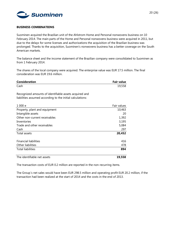

#### **BUSINESS COMBINATIONS**

Suominen acquired the Brazilian unit of the Ahlstrom Home and Personal nonwovens business on 10 February 2014. The main parts of the Home and Personal nonwovens business were acquired in 2011, but due to the delays for some licenses and authorizations the acquisition of the Brazilian business was prolonged. Thanks to the acquisition, Suominen's nonwovens business has a better coverage on the South American markets.

The balance sheet and the income statement of the Brazilian company were consolidated to Suominen as from 1 February 2014.

The shares of the local company were acquired. The enterprise value was EUR 17.5 million. The final consideration was EUR 19.6 million.

| <b>Consideration</b> | <b>Fair value</b> |
|----------------------|-------------------|
| Cash                 | 19,558            |

Recognized amounts of identifiable assets acquired and liabilities assumed according to the initial calculations:

| 1 000 e                       | Fair values |
|-------------------------------|-------------|
| Property, plant and equipment | 10,463      |
| Intangible assets             | 20          |
| Other non-current receivables | 1,392       |
| Inventories                   | 3,195       |
| Trade and other receivables   | 5,084       |
| Cash                          | 297         |
| Total assets                  | 20,452      |
|                               |             |
| <b>Financial liabilities</b>  | 416         |
| Other liabilities             | 478         |
| <b>Total liabilities</b>      | 894         |
| The identifiable net assets   | 19,558      |

The transaction costs of EUR 0.2 million are reported in the non-recurring items.

The Group´s net sales would have been EUR 298.5 million and operating profit EUR 20.2 million, if the transaction had been realized at the start of 2014 and the costs in the end of 2013.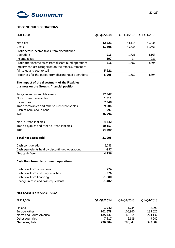

# **DISCONTINUED OPERATIONS**

| <b>EUR 1,000</b>                                        | Q1-Q3/2014 | Q1-Q3/2013 | Q1-Q4/2013 |
|---------------------------------------------------------|------------|------------|------------|
|                                                         |            |            |            |
| Net sales                                               | 32,521     | 44,115     | 59,438     |
| Costs                                                   | $-31,608$  | $-45,836$  | $-62,601$  |
| Profit before income taxes from discontinued            |            |            |            |
| operations                                              | 913        | $-1,721$   | $-3,163$   |
| Income taxes                                            | $-197$     | 34         | $-231$     |
| Profit after income taxes from discontinued operations  | 716        | $-1,687$   | $-3,394$   |
| Impairment loss recognized on the remeasurement to      |            |            |            |
| fair value and cost to sell                             | $-5,921$   |            |            |
| Profit/loss for the period from discontinued operations | $-5,205$   | $-1,687$   | $-3,394$   |
| The impact of the divestment of the Flexibles           |            |            |            |
| business on the Group's financial position              |            |            |            |
| Tangible and intangible assets                          | 17,942     |            |            |
| Non-current receivables                                 | 1,511      |            |            |
| Inventories                                             | 7,340      |            |            |
| Trade receivables and other current receivables         | 9,004      |            |            |
| Cash at bank and in hand                                | 997        |            |            |
| Total                                                   | 36,794     |            |            |
| Non-current liabilities                                 | 4,642      |            |            |
| Trade payables and other current liabilities            | 10,157     |            |            |
| Total                                                   | 14,799     |            |            |
| <b>Total net assets sold</b>                            | 21,995     |            |            |
| Cash consideration                                      | 5,733      |            |            |
| Cash equivalents held by discontinued operations        | $-997$     |            |            |
| Net cash flow                                           | 4,736      |            |            |
| <b>Cash flow from discontinued operations</b>           |            |            |            |
| Cash flow from operations                               | 774        |            |            |
| Cash flow from investing activities                     | $-376$     |            |            |
| Cash flow from financing                                | $-1,800$   |            |            |
| Change in cash and cash equivalents                     | $-1,402$   |            |            |
| <b>NET SALES BY MARKET AREA</b>                         |            |            |            |
| EUR 1,000                                               | Q1-Q3/2014 | Q1-Q3/2013 | Q1-Q4/2013 |
|                                                         |            |            |            |

| Europe, other           | 101,678 | 106,960 | 138,020 |
|-------------------------|---------|---------|---------|
| North and South America | 185,447 | 168,964 | 224,132 |
| Other countries         | 7.917   | 6.189   | 9.240   |
| Net sales, total        | 296,984 | 283,847 | 373,684 |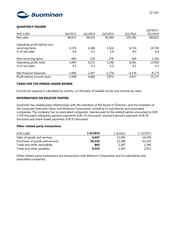

# **QUARTERLY FIGURES**

|                              |          |          |          |          | U4/2013- |
|------------------------------|----------|----------|----------|----------|----------|
| EUR 1,000                    | Q4/2013  | Q1/2014  | Q2/2014  | Q3/2014  | Q3/2014  |
| Net sales                    | 89,837   | 98,353   | 95,340   | 103,291  | 386,821  |
| Operating profit before non- |          |          |          |          |          |
| recurring items              | 4.176    | 6,384    | 5,524    | 8,710    | 24,792   |
| % of net sales               | 4.6      | 6.5      | 5.8      | 8.4      | 6.4      |
| Non-recurring items          | -482     | $-233$   | $-278$   | -349     | $-1,342$ |
| Operating profit, total      | 3,694    | 6,151    | 5,246    | 8,361    | 23,450   |
| % of net sales               | 4.1      | 6.3      | 5.5      | 8.1      | 6.1      |
| Net financial expenses       | $-1,096$ | $-1,467$ | $-1,276$ | $-4,334$ | $-8,173$ |
| Profit before income taxes   | 2,598    | 4,684    | 3,970    | 4,027    | 15,277   |

## **TAXES FOR THE PERIOD UNDER REVIEW**

Income tax expense is calculated by country, on the basis of taxable results and income tax rates.

## **INFORMATION ON RELATED PARTIES**

Suominen has related party relationships with the members of the Board of Directors, and the members of the Corporate Executive Team, and Ahlstrom Corporation, including its subsidiaries and associated companies. The company has no associated companies. Salaries paid to the related parties amounted to EUR 1,470 thousand, obligatory pension payments EUR 113 thousand, voluntary pension payments EUR 59 thousand and share-based payments EUR 53 thousand.

## **Other related-party transactions**

| EUR 1,000                       | 1-9/2014 | 1-9/2013 | 1-12/2013 |
|---------------------------------|----------|----------|-----------|
| Sales of goods and services     | 4.657    | 13,583   | 16.439    |
| Purchases of goods and services | 56.142   | 52,388   | 62.342    |
| Trade and other receivables     | 865      | 1,587    | 1,396     |
| Trade and other payables        | 8.552    | 1,383    | 2.073     |

Other related-party transactions are transactions with Ahlstrom Corporation and its subsidiaries and associated companies.

 $Q_4$ /2013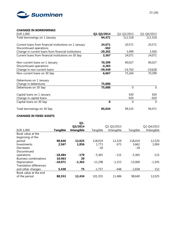

## **CHANGES IN BORROWINGS**

| EUR 1,000                                              | Q1-Q3/2014 | Q1-Q3/2013 | Q1-Q4/2013 |
|--------------------------------------------------------|------------|------------|------------|
| Total borrowings on 1 January                          | 94,471     | 111,518    | 111,518    |
| Current loans from financial institutions on 1 January | 24,071     | 20,571     | 20,571     |
| Discontinued operations                                | $-502$     |            |            |
| Change in current loans from financial institutions    | $-20,202$  | 3,499      | 3,500      |
| Current loans from financial institutions on 30 Sep    | 3,367      | 24,071     | 24,071     |
| Non-current loans on 1 January                         | 70,399     | 90,027     | 90,027     |
| Discontinued operations                                | -4,283     |            |            |
| Change in non-current loans                            | $-59,449$  | $-14,763$  | $-19,628$  |
| Non-current loans on 30 Sep                            | 6,667      | 75,264     | 70,399     |
| Debentures on 1 January                                |            |            |            |
| Change in debentures                                   | 75,000     |            |            |
| Debentures on 30 Sep                                   | 75,000     | $\Omega$   | $\Omega$   |
| Capital loans on 1 January                             |            | 920        | 920        |
| Change in capital loans                                |            | $-920$     | $-920$     |
| Capital loans on 30 Sep                                | 0          | $\Omega$   | $\Omega$   |
| Total borrowings on 30 Sep                             | 85,034     | 99,335     | 94,471     |

# **CHANGES IN FIXED ASSETS**

|                                |                 | $Q1 -$            |           |            |           |            |
|--------------------------------|-----------------|-------------------|-----------|------------|-----------|------------|
|                                |                 | Q3/2014           |           | Q1-Q3/2013 |           | Q1-Q4/2013 |
| EUR 1,000                      | <b>Tangible</b> | <b>Intangible</b> | Tangible  | Intangible | Tangible  | Intangible |
| Book value at the              |                 |                   |           |            |           |            |
| beginning of the               |                 |                   |           |            |           |            |
| period                         | 98,640          | 12,025            | 118,019   | 12,529     | 118,019   | 12,529     |
| Investments                    | 2,567           | 1,856             | 1,773     | 673        | 3,662     | 1,004      |
| Decreases                      |                 |                   | $-18$     |            | $-18$     |            |
| Discontinued                   |                 |                   |           |            |           |            |
| operations                     | $-18,484$       | -179              | $-5,365$  | $-115$     | $-5,365$  | $-115$     |
| <b>Business combinations</b>   | 10,463          | 20                |           |            |           |            |
| Depreciation                   | $-10,071$       | $-1,363$          | $-11,298$ | $-1,153$   | $-15,000$ | $-1,545$   |
| <b>Translation differences</b> |                 |                   |           |            |           |            |
| and other changes              | 5,438           | 75                | $-1,757$  | -448       | $-2,658$  | 152        |
| Book value at the end          |                 |                   |           |            |           |            |
| of the period                  | 88,553          | 12,434            | 101,355   | 11,486     | 98,640    | 12,025     |
|                                |                 |                   |           |            |           |            |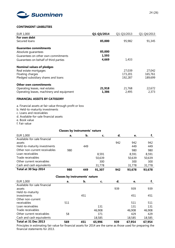

## **CONTINGENT LIABILITIES**

| EUR 1,000                                 | Q1-Q3/2014 | Q1-Q3/2013 | Q1-Q4/2013 |
|-------------------------------------------|------------|------------|------------|
| For own debt                              |            |            |            |
| Secured loans                             | 85,000     | 95,982     | 91,345     |
| <b>Guarantee commitments</b>              |            |            |            |
| Absolute guarantees                       | 85,000     |            |            |
| Guarantees on other own commitments       | 1,593      |            |            |
| Guarantees on behalf of third parties     | 4,669      | 1,433      |            |
| <b>Nominal values of pledges</b>          |            |            |            |
| Real estate mortgages                     |            | 27,039     | 27,042     |
| Floating charges                          |            | 173,201    | 165,761    |
| Pledged subsidiary shares and loans       |            | 192,287    | 189,699    |
| <b>Other own commitments</b>              |            |            |            |
| Operating leases, real estates            | 21,918     | 21,768     | 22,672     |
| Operating leases, machinery and equipment | 1,386      | 2,495      | 2,373      |

# **FINANCIAL ASSETS BY CATEGORY**

- a. Financial assets at fair value through profit or loss
- b. Held-to-maturity investments
- c. Loans and receivables
- d. Available-for-sale financial assets
- e. Book value
- f. Fair value

## **Classes by instruments' nature**

| EUR 1,000                     | а.  | b.  | c.     | d.  | e.     |        |
|-------------------------------|-----|-----|--------|-----|--------|--------|
| Available-for-sale financial  |     |     |        |     |        |        |
| assets                        |     |     |        | 942 | 942    | 942    |
| Held-to-maturity investments  |     | 449 |        |     | 449    | 449    |
| Other non-current receivables | 980 |     |        |     | 980    | 980    |
| Loan receivables              |     |     | 8,591  |     | 8,591  | 8,591  |
| Trade receivables             |     |     | 50,639 |     | 50,639 | 50,639 |
| Other current receivables     |     |     | 300    |     | 300    | 300    |
| Cash and cash equivalents     |     |     | 31,778 |     | 31,778 | 31,778 |
| Total at 30 Sep 2014          | 980 | 449 | 91.307 | 942 | 93,678 | 93,678 |

|                              | <b>Classes by instruments' nature</b> |     |        |     |        |        |
|------------------------------|---------------------------------------|-----|--------|-----|--------|--------|
| EUR 1,000                    | a.                                    | b.  | c.     | d.  | е.     | f.     |
| Available-for-sale financial |                                       |     |        |     |        |        |
| assets                       |                                       |     |        | 939 | 939    | 939    |
| Held-to-maturity             |                                       |     |        |     |        |        |
| investments                  |                                       | 451 |        |     | 451    | 451    |
| Other non-current            |                                       |     |        |     |        |        |
| receivables                  | 511                                   |     |        |     | 511    | 511    |
| Loan receivables             |                                       |     | 131    |     | 131    | 131    |
| Trade receivables            |                                       |     | 46,908 |     | 46,908 | 46,908 |
| Other current receivables    | 58                                    |     | 371    |     | 429    | 429    |
| Cash and cash equivalents    |                                       |     | 18,585 |     | 18,585 | 18,585 |
| Total at 31 Dec 2013         | 569                                   | 451 | 65,996 | 939 | 67,954 | 67,954 |

Principles in estimating fair value for financial assets for 2014 are the same as those used for preparing the financial statements for 2013.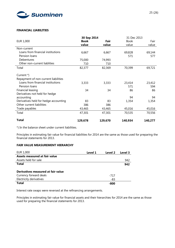

## **FINANCIAL LIABILITIES**

|                                       | 30 Sep 2014 |         | 31 Dec 2013 |         |
|---------------------------------------|-------------|---------|-------------|---------|
| EUR 1,000                             | <b>Book</b> | Fair    | <b>Book</b> | Fair    |
|                                       | value       | value   | value       | value   |
| Non-current                           |             |         |             |         |
| Loans from financial institutions     | 6,667       | 6,667   | 69,828      | 69,144  |
| Pension loans                         |             |         | 571         | 577     |
| Debentures                            | 75,000      | 74,993  |             |         |
| Other non-current liablities          | 710         | 710     |             |         |
| Total                                 | 82,377      | 82,369  | 70,399      | 69,721  |
| Current *)                            |             |         |             |         |
| Repayment of non-current liabilities  |             |         |             |         |
| Loans from financial institutions     | 3,333       | 3,333   | 23,414      | 23,412  |
| Pension loans                         |             |         | 571         | 594     |
| Financial leasing                     | 34          | 34      | 86          | 86      |
| Derivatives not held for hedge        |             |         |             |         |
| accounting                            |             |         | 94          | 94      |
| Derivatives held for hedge accounting | 83          | 83      | 1,354       | 1,354   |
| Other current liabilities             | 386         | 386     |             |         |
|                                       |             |         |             |         |
| Trade payables                        | 43,465      | 43,465  | 45,016      | 45,016  |
| Total                                 | 47,301      | 47,301  | 70,535      | 70,556  |
| <b>Total</b>                          | 129,678     | 129,670 | 140,934     | 140,277 |

\*) In the balance sheet under current liabilities.

Principles in estimating fair value for financial liabilities for 2014 are the same as those used for preparing the financial statements for 2013.

# **FAIR VALUE MEASUREMENT HIERARCHY**

| EUR 1,000                          | Level 1 | Level 2 | Level 3 |
|------------------------------------|---------|---------|---------|
| Assets measured at fair value      |         |         |         |
| Assets held for sale               |         |         | 942     |
| Total                              |         |         | 942     |
|                                    |         |         |         |
| Derivatives measured at fair value |         |         |         |
| Currency forward deals             |         | $-717$  |         |
| Electricity derivatives            |         | -83     |         |
| Total                              |         | -800    |         |

Interest rate swaps were reversed at the refinancing arrangements.

Principles in estimating fair value for financial assets and their hierarchies for 2014 are the same as those used for preparing the financial statements for 2013.